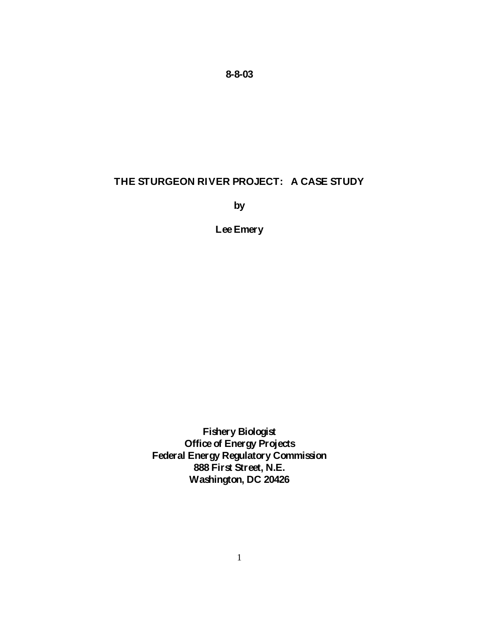**8-8-03**

# **THE STURGEON RIVER PROJECT: A CASE STUDY**

**by**

**Lee Emery**

**Fishery Biologist Office of Energy Projects Federal Energy Regulatory Commission 888 First Street, N.E. Washington, DC 20426**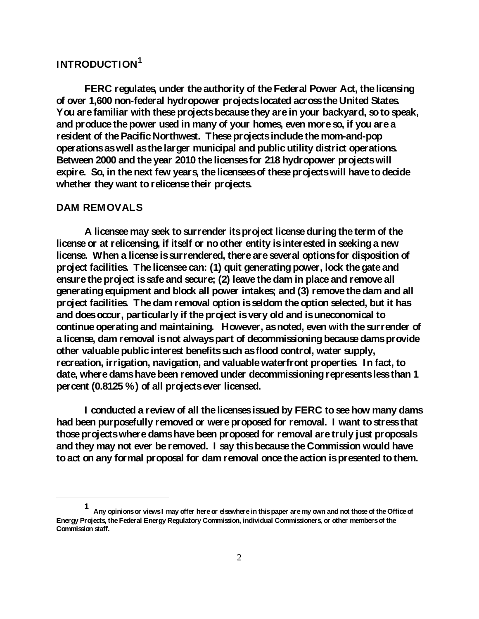# **INTRODUCTION[1](#page-1-0)**

**FERC regulates, under the authority of the Federal Power Act, the licensing of over 1,600 non-federal hydropower projects located across the United States. You are familiar with these projects because they are in your backyard, so to speak, and produce the power used in many of your homes, even more so, if you are a resident of the Pacific Northwest. These projects include the mom-and-pop operations as well as the larger municipal and public utility district operations. Between 2000 and the year 2010 the licenses for 218 hydropower projects will expire. So, in the next few years, the licensees of these projects will have to decide whether they want to relicense their projects.**

## **DAM REMOVALS**

 $\overline{a}$ 

**A licensee may seek to surrender its project license during the term of the licenseor at relicensing, if itself or no other entity is interested in seeking a new license. When a license is surrendered, there are several options for disposition of project facilities. The licensee can: (1) quit generating power, lock the gate and ensurethe project is safe and secure; (2) leave the dam in place and remove all generating equipment and block all power intakes; and (3) remove the dam and all project facilities. The dam removal option is seldom the option selected, but it has and does occur, particularly if the project is very old and is uneconomical to continue operating and maintaining. However, as noted, even with the surrender of a license, dam removal is not always part of decommissioning because dams provide other valuable public interest benefits such as flood control, water supply, recreation, irrigation, navigation, and valuable waterfront properties. In fact, to date, where dams have been removed under decommissioning represents less than 1 percent (0.8125 %) of all projects ever licensed.**

**I conducted a review of all the licenses issued by FERC to see how many dams had been purposefully removed or were proposed for removal. I want to stress that those projects where dams have been proposed for removal are truly just proposals and they may not ever be removed. I say this because the Commission would have to act on any formal proposal for dam removal once the action is presented to them.** 

<span id="page-1-0"></span>**<sup>1</sup> Any opinions or views I may offer here or elsewhere in this paper are my own and not those of the Office of Energy Projects, the Federal Energy Regulatory Commission, individual Commissioners, or other members of the Commission staff.**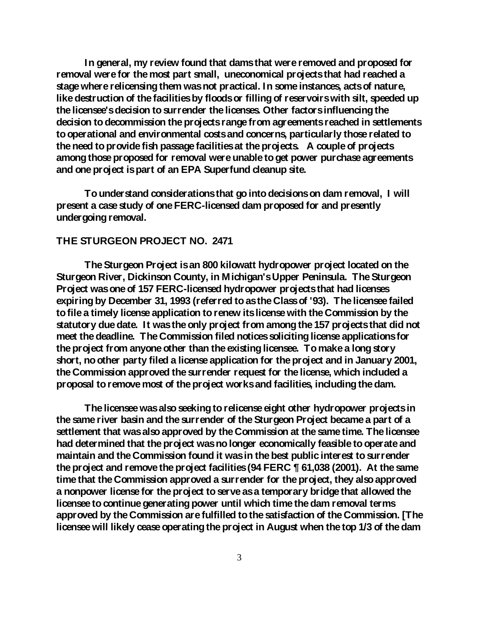**In general, my review found that dams that were removed and proposed for removal were for the most part small, uneconomical projects that had reached a stage where relicensing them was not practical. In some instances, acts of nature, like destruction of the facilities by floods or filling of reservoirs with silt, speeded up the licensee's decision to surrender the licenses. Other factors influencing the decision to decommission the projects range from agreements reached in settlements to operational and environmental costs and concerns, particularly those related to the need to provide fish passage facilities at the projects. A couple of projects among those proposed for removal were unable to get power purchase agreements and one project is part of an EPA Superfund cleanup site.** 

**To understand considerations that go into decisions on dam removal, I will present a case study of one FERC-licensed dam proposed for and presently undergoing removal.** 

### **THE STURGEON PROJECT NO. 2471**

**The Sturgeon Project is an 800 kilowatt hydropower project located on the Sturgeon River, Dickinson County, in Michigan's Upper Peninsula. The Sturgeon Project was one of 157 FERC-licensed hydropower projects that had licenses expiring by December 31, 1993 (referred to as the Class of '93). The licensee failed to file a timely license application to renew its license with the Commission by the statutory due date. It was the only project from among the 157 projects that did not meet the deadline. The Commission filed notices soliciting license applications for the project from anyone other than the existing licensee. To make a long story short, no other party filed a license application for the project and in January 2001, the Commission approved the surrender request for the license, which included a proposal to remove most of the project works and facilities, including the dam.** 

**The licensee was also seeking to relicense eight other hydropower projects in the same river basin and the surrender of the Sturgeon Project became a part of a settlement that was also approved by the Commission at the same time. The licensee had determined that the project was no longer economically feasible to operate and maintain and the Commission found it was in the best public interest to surrender the project and remove the project facilities (94 FERC ¶ 61,038 (2001). At the same time that the Commission approved a surrender for the project, they also approved a nonpower license for the project to serve as a temporary bridge that allowed the licensee to continue generating power until which time the dam removal terms approved by the Commission are fulfilled to the satisfaction of the Commission. [The licensee will likely cease operating the project in August when the top 1/3 of the dam**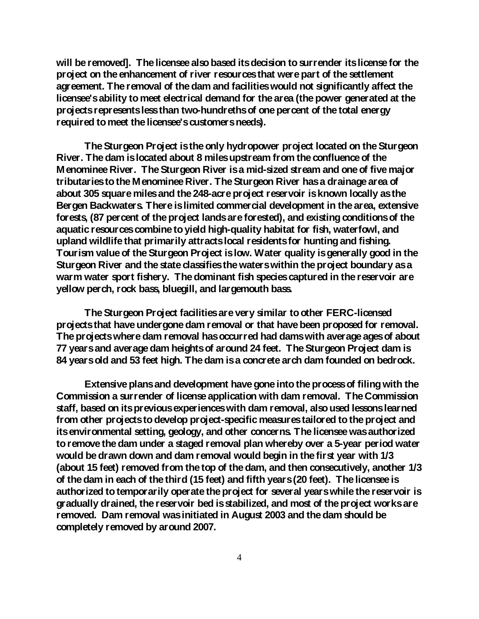**will be removed]. The licensee also based its decision to surrender its license for the project on the enhancement of river resources that were part of the settlement agreement. The removal of the dam and facilities would not significantly affect the licensee's ability to meet electrical demand for the area (the power generated at the projects represents less than two-hundreths of one percent of the total energy required to meet the licensee's customers needs).** 

**The Sturgeon Project is the only hydropower project located on the Sturgeon River. The dam is located about 8 miles upstream from the confluence of the Menominee River. The Sturgeon River is a mid-sized stream and one of five major tributaries to the Menominee River. The Sturgeon River has a drainage area of about 305 square miles and the 248-acre project reservoir is known locally as the Bergen Backwaters. There is limited commercial development in the area, extensive forests, (87 percent of the project lands are forested), and existing conditions of the aquatic resources combine to yield high-quality habitat for fish, waterfowl, and upland wildlife that primarily attracts local residents for hunting and fishing. Tourism value of the Sturgeon Project is low. Water quality is generally good in the Sturgeon River and the state classifies the waters within the project boundary as a warm water sport fishery. The dominant fish species captured in the reservoir are yellow perch, rock bass, bluegill, and largemouth bass.**

**The Sturgeon Project facilities are very similar to other FERC-licensed projects that have undergone dam removal or that have been proposed for removal. The projects where dam removal has occurred had dams with average ages of about 77 years and average dam heights of around 24 feet. The Sturgeon Project dam is 84 years old and 53 feet high. The dam is a concrete arch dam founded on bedrock.**

**Extensive plans and development have gone into the process of filing with the Commission a surrender of license application with dam removal. The Commission staff, based on its previous experiences with dam removal, also used lessons learned from other projects to develop project-specific measures tailored to the project and its environmental setting, geology, and other concerns. The licensee was authorized to remove the dam under a staged removal plan whereby over a 5-year period water would be drawn down and dam removal would begin in the first year with 1/3 (about 15 feet) removed from the top of the dam, and then consecutively, another 1/3 of the dam in each of the third (15 feet) and fifth years (20 feet). The licensee is authorized to temporarily operate the project for several years while the reservoir is gradually drained, the reservoir bed is stabilized, and most of the project works are removed. Dam removal was initiated in August 2003 and the dam should be completely removed by around 2007.**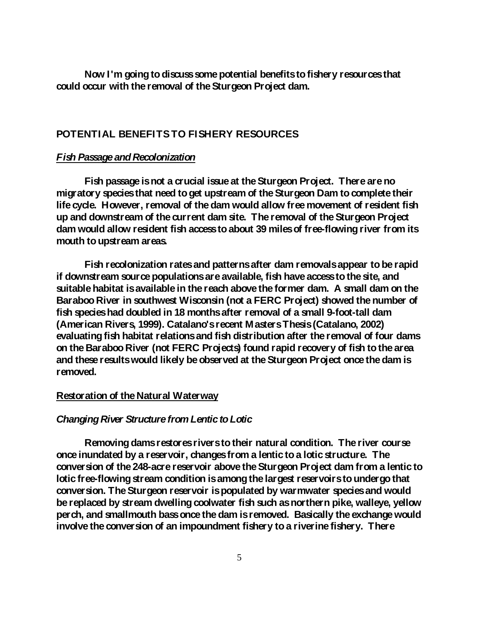**Now I'm going to discuss some potential benefits to fishery resources that could occur with the removal of the Sturgeon Project dam.**

# **POTENTIAL BENEFITS TO FISHERY RESOURCES**

### *Fish Passage and Recolonization*

**Fish passage is not a crucial issue at the Sturgeon Project. There are no migratory species that need to get upstream of the Sturgeon Dam to complete their life cycle. However, removal of the dam would allow free movement of resident fish up and downstream of the current dam site. The removal of the Sturgeon Project dam would allow resident fish access to about 39 miles of free-flowing river from its mouth to upstream areas.**

**Fish recolonization rates and patterns after dam removals appear to be rapid if downstream source populations are available, fish have access to the site, and suitable habitat is available in the reach above the former dam. A small dam on the Baraboo River in southwest Wisconsin (not a FERC Project) showed the number of fish species had doubled in 18 months after removal of a small 9-foot-tall dam (American Rivers, 1999). Catalano's recent Masters Thesis (Catalano, 2002) evaluating fish habitat relations and fish distribution after the removal of four dams on the Baraboo River (not FERC Projects) found rapid recovery of fish to the area and these results would likely be observed at the Sturgeon Project once the dam is removed.** 

#### **Restoration of the Natural Waterway**

#### *Changing River Structure from Lentic to Lotic*

**Removing dams restores rivers to their natural condition. The river course once inundated by a reservoir, changes from a lentic to a lotic structure. The conversion of the 248-acre reservoir above the Sturgeon Project dam from a lentic to lotic free-flowing stream condition is among the largest reservoirs to undergo that conversion. The Sturgeon reservoir is populated by warmwater species and would be replaced by stream dwelling coolwater fish such as northern pike, walleye, yellow perch, and smallmouth bass once the dam is removed. Basically the exchange would involve the conversion of an impoundment fishery to a riverine fishery. There**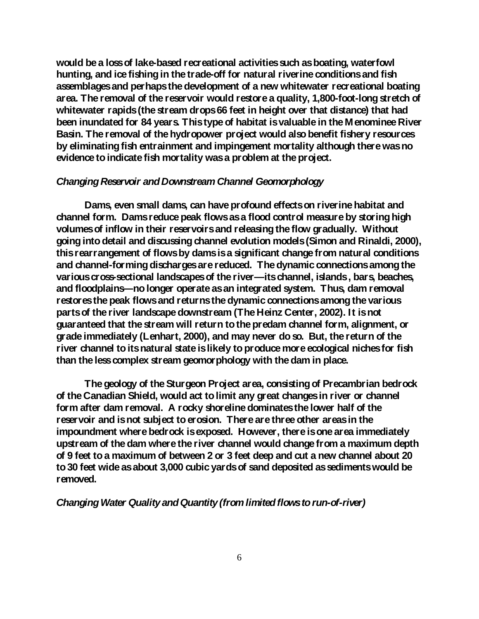**would be a loss of lake-based recreational activities such as boating, waterfowl hunting, and ice fishing in the trade-off for natural riverine conditions and fish assemblages and perhaps the development of a new whitewater recreational boating area. The removal of the reservoir would restore a quality, 1,800-foot-long stretch of whitewater rapids (the stream drops 66 feet in height over that distance) that had been inundated for 84 years. This type of habitat is valuable in the Menominee River Basin. The removal of the hydropower project would also benefit fishery resources by eliminating fish entrainment and impingement mortality although there was no evidence to indicate fish mortality was a problem at the project.**

### *Changing Reservoir and Downstream Channel Geomorphology*

**Dams, even small dams, can have profound effects on riverine habitat and channel form. Dams reduce peak flows as a flood control measure by storing high volumes of inflow in their reservoirs and releasing the flow gradually. Without going into detail and discussing channel evolution models (Simon and Rinaldi, 2000), this rearrangement of flows by dams is a significant change from natural conditions and channel-forming discharges are reduced. The dynamic connections among the various cross-sectional landscapes of the river—its channel, islands , bars, beaches, and floodplains—no longer operate as an integrated system. Thus, dam removal restores the peak flows and returns the dynamic connections among the various parts of the river landscape downstream (The Heinz Center, 2002). It is not guaranteed that the stream will return to the predam channel form, alignment, or grade immediately (Lenhart, 2000), and may never do so. But, the return of the river channel to its natural state is likely to produce more ecological niches for fish than the less complex stream geomorphology with the dam in place.** 

**The geology of the Sturgeon Project area, consisting of Precambrian bedrock of the Canadian Shield, would act to limit any great changes in river or channel form after dam removal. A rocky shoreline dominates the lower half of the reservoir and is not subject to erosion. There are three other areas in the impoundment where bedrock is exposed. However, there is one area immediately upstream of the dam where the river channel would change from a maximum depth of 9 feet to a maximum of between 2 or 3 feet deep and cut a new channel about 20 to 30 feet wide as about 3,000 cubic yards of sand deposited as sediments would be removed.** 

*Changing Water Quality and Quantity(from limited flows to run-of-river)*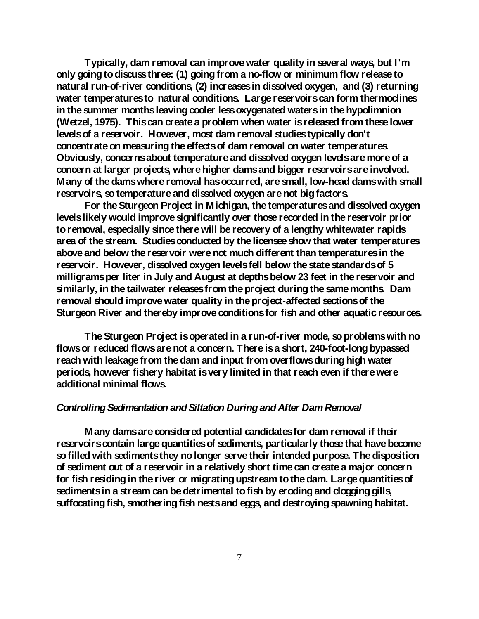**Typically, dam removal can improve water quality in several ways, but I'm only going to discuss three: (1) going from a no-flow or minimum flow release to natural run-of-river conditions, (2) increases in dissolved oxygen, and (3) returning water temperatures to natural conditions. Large reservoirs can form thermoclines in the summer months leaving cooler lessoxygenated waters in the hypolimnion (Wetzel, 1975). This can create a problem when water is released from these lower levels of a reservoir. However, most dam removal studies typically don't concentrate on measuring the effects of dam removal on water temperatures. Obviously, concerns about temperature and dissolved oxygen levels are more of a concern at larger projects, where higher dams and bigger reservoirs are involved. Many of the dams where removal has occurred, are small, low-head dams with small reservoirs, so temperature and dissolved oxygen are not big factors.** 

**For the Sturgeon Project in Michigan, the temperatures and dissolved oxygen levels likely would improve significantly over those recorded in the reservoir prior to removal, especially since there will be recovery of a lengthy whitewater rapids area of the stream. Studies conducted by the licensee show that water temperatures above and below the reservoir were not much different than temperatures in the reservoir. However, dissolved oxygen levels fell below the state standards of 5 milligrams per liter in July and August at depths below 23 feet in the reservoir and similarly, in the tailwater releases from the project during the same months. Dam removal should improve water quality in the project-affected sections of the Sturgeon River and thereby improve conditions for fish and other aquatic resources.**

**The Sturgeon Project is operated in a run-of-river mode, so problems with no flows or reduced flows are not a concern. There is a short, 240-foot-long bypassed reach with leakage from the dam and input from overflows during high water periods, however fishery habitat is very limited in that reach even if there were additional minimal flows.**

### *Controlling Sedimentation and Siltation During and After Dam Removal*

**Many dams are considered potential candidates for dam removal if their reservoirs contain large quantities of sediments, particularly those that have become so filled with sediments they no longer serve their intended purpose. The disposition of sediment out of a reservoir in a relatively short time can create a major concern for fish residing in the river or migrating upstream to the dam. Large quantities of sediments in a stream can be detrimental to fish by eroding and clogging gills, suffocating fish, smothering fish nests and eggs, and destroying spawning habitat.**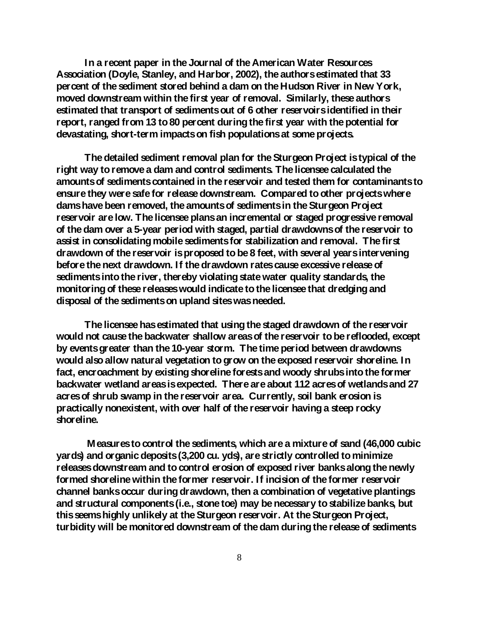**In a recent paper in the Journal of the American Water Resources Association (Doyle, Stanley, and Harbor, 2002), the authors estimated that 33 percent of the sediment stored behind a dam on the Hudson River in New York, moved downstream within the first year of removal. Similarly, these authors estimated that transport of sediments out of 6 other reservoirs identified in their report, ranged from 13 to 80 percent during the first year with the potential for devastating, short-term impacts on fish populations at some projects.** 

**The detailed sediment removal plan for the Sturgeon Project is typical of the right way to remove a dam and control sediments. The licensee calculated the amounts of sediments contained in the reservoir and tested them for contaminants to ensure they were safe for release downstream. Compared to other projects where dams have been removed, the amounts of sediments in the Sturgeon Project reservoir are low. The licensee plans an incremental or staged progressive removal of the dam over a 5-year period with staged, partial drawdowns of the reservoir to assist in consolidating mobile sediments for stabilization and removal. The first drawdown of the reservoir is proposed to be 8 feet, with several years intervening before the next drawdown. If the drawdown rates cause excessive release of sediments into the river, thereby violating state water quality standards, the monitoring of these releases would indicate to the licensee that dredging and disposal of the sediments on upland sites was needed.**

**The licensee has estimated that using the staged drawdown of the reservoir would not cause the backwater shallow areas of the reservoir to be reflooded, except by events greater than the 10-year storm. The time period between drawdowns would also allow natural vegetation to grow on the exposed reservoir shoreline. In fact, encroachment by existing shoreline forests and woody shrubs into the former backwater wetland areas is expected. There are about 112 acres of wetlands and 27 acres of shrub swamp in the reservoir area. Currently, soil bank erosion is practically nonexistent, with over half of the reservoir having a steep rocky shoreline.** 

**Measures to control the sediments, which are a mixture of sand (46,000 cubic yards) and organic deposits (3,200 cu. yds), are strictly controlled to minimize releases downstream and to control erosion of exposed river banks along the newly formed shoreline within the former reservoir. If incision of the former reservoir channel banks occur during drawdown, then a combination of vegetative plantings and structural components (i.e., stone toe) may be necessary to stabilize banks, but this seems highly unlikely at the Sturgeon reservoir. At the Sturgeon Project, turbidity will be monitored downstream of the dam during the release of sediments**